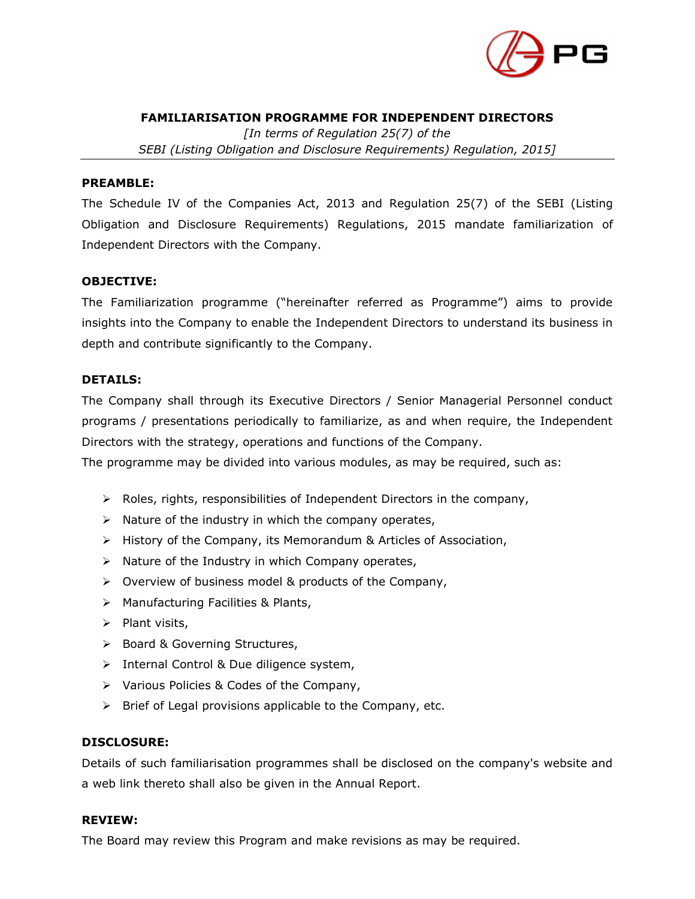

### **FAMILIARISATION PROGRAMME FOR INDEPENDENT DIRECTORS**

*[In terms of Regulation 25(7) of the SEBI (Listing Obligation and Disclosure Requirements) Regulation, 2015]*

#### **PREAMBLE:**

The Schedule IV of the Companies Act, 2013 and Regulation 25(7) of the SEBI (Listing Obligation and Disclosure Requirements) Regulations, 2015 mandate familiarization of Independent Directors with the Company.

### **OBJECTIVE:**

The Familiarization programme ("hereinafter referred as Programme") aims to provide insights into the Company to enable the Independent Directors to understand its business in depth and contribute significantly to the Company.

#### **DETAILS:**

The Company shall through its Executive Directors / Senior Managerial Personnel conduct programs / presentations periodically to familiarize, as and when require, the Independent Directors with the strategy, operations and functions of the Company.

The programme may be divided into various modules, as may be required, such as:

- ➢ Roles, rights, responsibilities of Independent Directors in the company,
- $\triangleright$  Nature of the industry in which the company operates,
- ➢ History of the Company, its Memorandum & Articles of Association,
- ➢ Nature of the Industry in which Company operates,
- ➢ Overview of business model & products of the Company,
- ➢ Manufacturing Facilities & Plants,
- ➢ Plant visits,
- ➢ Board & Governing Structures,
- ➢ Internal Control & Due diligence system,
- ➢ Various Policies & Codes of the Company,
- ➢ Brief of Legal provisions applicable to the Company, etc.

### **DISCLOSURE:**

Details of such familiarisation programmes shall be disclosed on the company's website and a web link thereto shall also be given in the Annual Report.

### **REVIEW:**

The Board may review this Program and make revisions as may be required.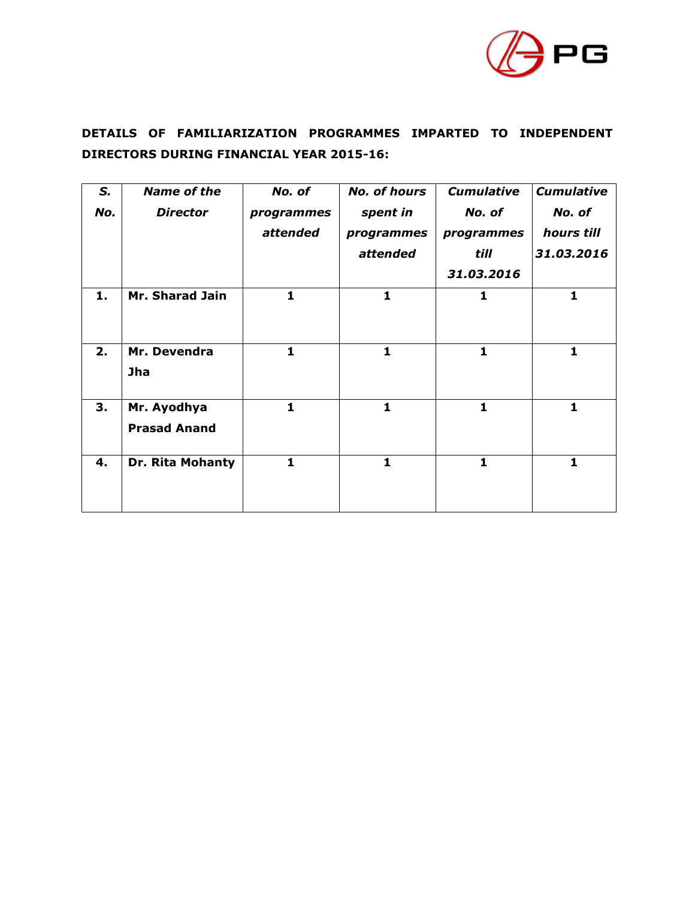

# **DETAILS OF FAMILIARIZATION PROGRAMMES IMPARTED TO INDEPENDENT DIRECTORS DURING FINANCIAL YEAR 2015-16:**

| S.  | <b>Name of the</b>  | No. of       | <b>No. of hours</b> | <b>Cumulative</b> | <b>Cumulative</b> |
|-----|---------------------|--------------|---------------------|-------------------|-------------------|
| No. | <b>Director</b>     | programmes   | spent in            | No. of            | No. of            |
|     |                     | attended     | programmes          | programmes        | hours till        |
|     |                     |              | attended            | till              | 31.03.2016        |
|     |                     |              |                     | 31.03.2016        |                   |
| 1.  | Mr. Sharad Jain     | $\mathbf{1}$ | $\mathbf{1}$        | 1                 | $\mathbf{1}$      |
|     |                     |              |                     |                   |                   |
|     |                     |              |                     |                   |                   |
| 2.  | Mr. Devendra        | $\mathbf{1}$ | $\mathbf{1}$        | 1                 | 1                 |
|     | Jha                 |              |                     |                   |                   |
|     |                     |              |                     |                   |                   |
| З.  | Mr. Ayodhya         | 1            | 1                   | 1                 | 1                 |
|     | <b>Prasad Anand</b> |              |                     |                   |                   |
| 4.  | Dr. Rita Mohanty    | $\mathbf{1}$ | $\mathbf{1}$        | 1                 | 1                 |
|     |                     |              |                     |                   |                   |
|     |                     |              |                     |                   |                   |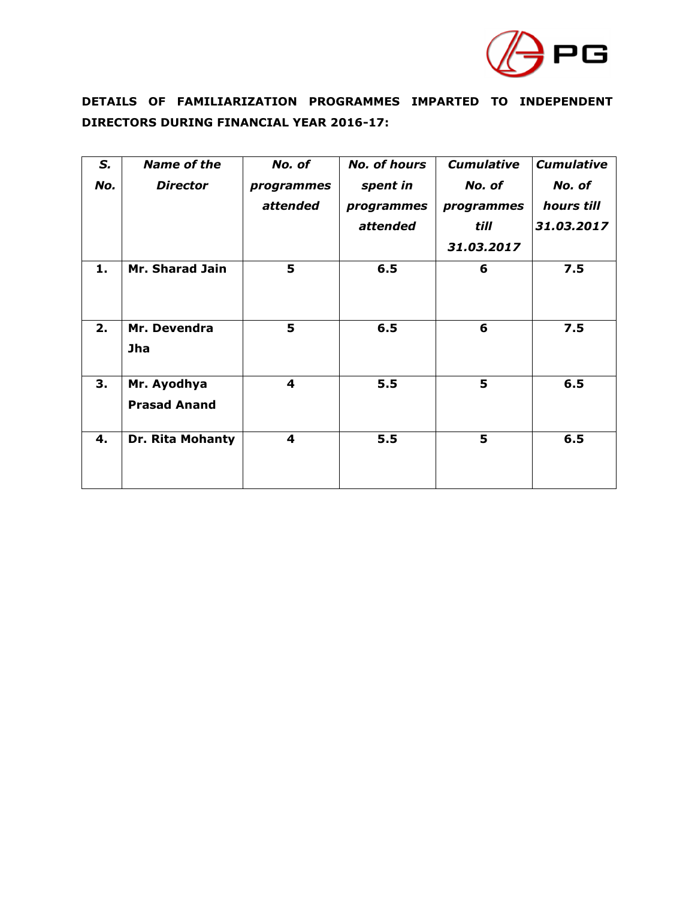

# **DETAILS OF FAMILIARIZATION PROGRAMMES IMPARTED TO INDEPENDENT DIRECTORS DURING FINANCIAL YEAR 2016-17:**

| S.  | <b>Name of the</b>                 | No. of                 | <b>No. of hours</b>                | <b>Cumulative</b>            | <b>Cumulative</b>                  |
|-----|------------------------------------|------------------------|------------------------------------|------------------------------|------------------------------------|
| No. | <b>Director</b>                    | programmes<br>attended | spent in<br>programmes<br>attended | No. of<br>programmes<br>till | No. of<br>hours till<br>31.03.2017 |
|     |                                    |                        |                                    | 31.03.2017                   |                                    |
| 1.  | Mr. Sharad Jain                    | 5                      | 6.5                                | 6                            | 7.5                                |
| 2.  | Mr. Devendra<br><b>Jha</b>         | 5                      | 6.5                                | 6                            | 7.5                                |
| 3.  | Mr. Ayodhya<br><b>Prasad Anand</b> | 4                      | 5.5                                | 5                            | 6.5                                |
| 4.  | Dr. Rita Mohanty                   | 4                      | 5.5                                | 5                            | 6.5                                |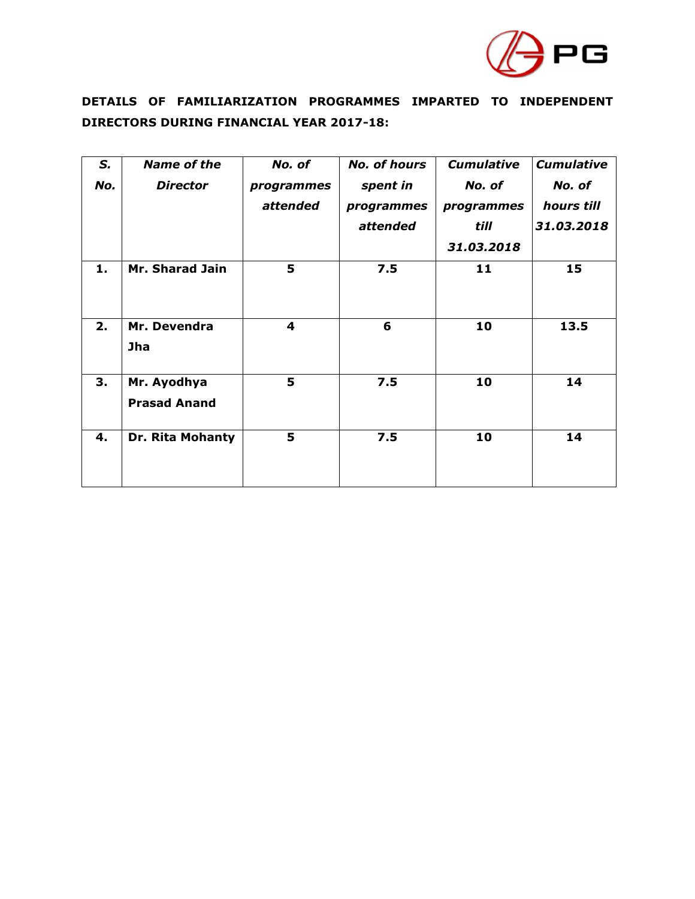

# **DETAILS OF FAMILIARIZATION PROGRAMMES IMPARTED TO INDEPENDENT DIRECTORS DURING FINANCIAL YEAR 2017-18:**

| S.  | <b>Name of the</b>  | No. of     | <b>No. of hours</b> | <b>Cumulative</b> | <b>Cumulative</b> |
|-----|---------------------|------------|---------------------|-------------------|-------------------|
| No. | <b>Director</b>     | programmes | spent in            | No. of            | No. of            |
|     |                     | attended   | programmes          | programmes        | hours till        |
|     |                     |            | attended            | till              | 31.03.2018        |
|     |                     |            |                     | 31.03.2018        |                   |
| 1.  | Mr. Sharad Jain     | 5          | 7.5                 | 11                | 15                |
|     |                     |            |                     |                   |                   |
| 2.  | Mr. Devendra        | 4          | 6                   | 10                | 13.5              |
|     | <b>Jha</b>          |            |                     |                   |                   |
| 3.  | Mr. Ayodhya         | 5          | 7.5                 | 10                | 14                |
|     | <b>Prasad Anand</b> |            |                     |                   |                   |
| 4.  | Dr. Rita Mohanty    | 5          | 7.5                 | 10                | 14                |
|     |                     |            |                     |                   |                   |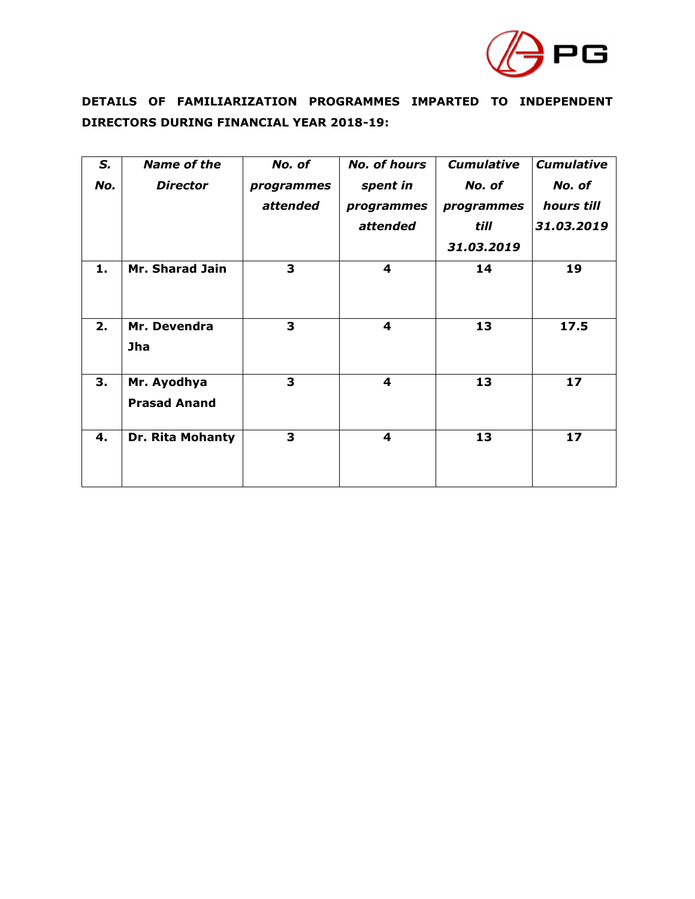

# **DETAILS OF FAMILIARIZATION PROGRAMMES IMPARTED TO INDEPENDENT DIRECTORS DURING FINANCIAL YEAR 2018-19:**

| S.  | Name of the         | No. of     | <b>No. of hours</b>     | <b>Cumulative</b> | <b>Cumulative</b> |
|-----|---------------------|------------|-------------------------|-------------------|-------------------|
| No. | <b>Director</b>     | programmes | spent in                | No. of            | No. of            |
|     |                     | attended   | programmes              | programmes        | hours till        |
|     |                     |            | attended                | till              | 31.03.2019        |
|     |                     |            |                         | 31.03.2019        |                   |
| 1.  | Mr. Sharad Jain     | 3          | 4                       | 14                | 19                |
|     |                     |            |                         |                   |                   |
|     |                     | 3          | 4                       |                   |                   |
| 2.  | Mr. Devendra        |            |                         | 13                | 17.5              |
|     | <b>Jha</b>          |            |                         |                   |                   |
| 3.  | Mr. Ayodhya         | 3          | $\overline{\mathbf{4}}$ | 13                | 17                |
|     | <b>Prasad Anand</b> |            |                         |                   |                   |
| 4.  | Dr. Rita Mohanty    | 3          | 4                       | 13                | 17                |
|     |                     |            |                         |                   |                   |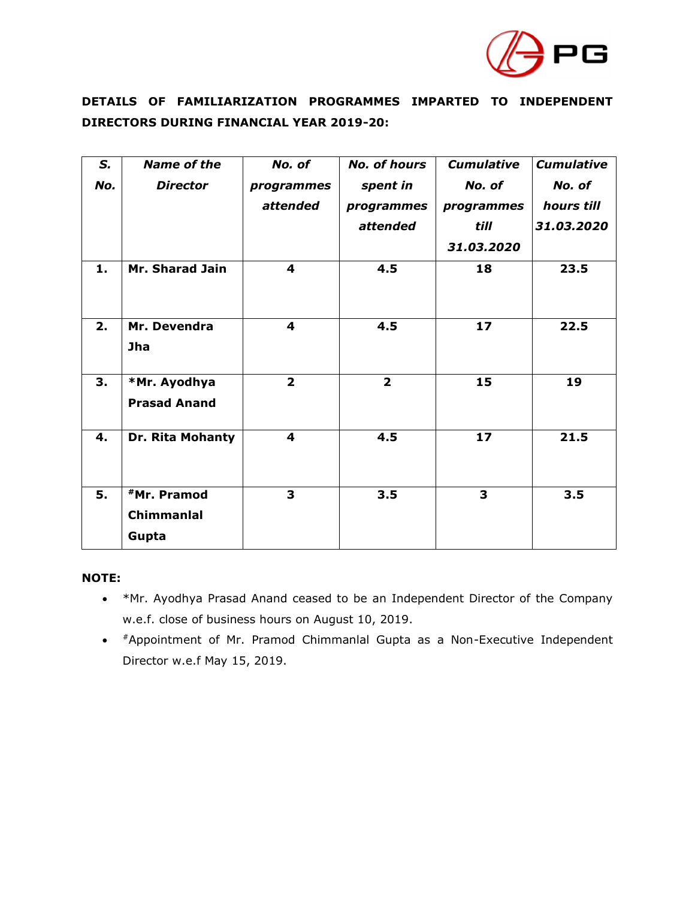

### **DETAILS OF FAMILIARIZATION PROGRAMMES IMPARTED TO INDEPENDENT DIRECTORS DURING FINANCIAL YEAR 2019-20:**

| S.  | <b>Name of the</b>        | No. of         | <b>No. of hours</b>     | <b>Cumulative</b> | <b>Cumulative</b> |
|-----|---------------------------|----------------|-------------------------|-------------------|-------------------|
| No. | <b>Director</b>           | programmes     | spent in                | No. of            | No. of            |
|     |                           | attended       | programmes              | programmes        | hours till        |
|     |                           |                | attended                | till              | 31.03.2020        |
|     |                           |                |                         | 31,03,2020        |                   |
| 1.  | Mr. Sharad Jain           | 4              | 4.5                     | 18                | 23.5              |
|     |                           |                |                         |                   |                   |
|     |                           |                |                         |                   |                   |
| 2.  | Mr. Devendra              | 4              | 4.5                     | 17                | 22.5              |
|     | <b>Jha</b>                |                |                         |                   |                   |
|     |                           |                |                         |                   |                   |
| 3.  | *Mr. Ayodhya              | $\overline{2}$ | $\overline{\mathbf{2}}$ | 15                | 19                |
|     | <b>Prasad Anand</b>       |                |                         |                   |                   |
| 4.  | Dr. Rita Mohanty          | 4              | 4.5                     | 17                | 21.5              |
|     |                           |                |                         |                   |                   |
|     |                           |                |                         |                   |                   |
| 5.  | <b><i>*Mr. Pramod</i></b> | 3              | 3.5                     | 3                 | 3.5               |
|     | Chimmanlal                |                |                         |                   |                   |
|     | Gupta                     |                |                         |                   |                   |

### **NOTE:**

- \*Mr. Ayodhya Prasad Anand ceased to be an Independent Director of the Company w.e.f. close of business hours on August 10, 2019.
- #Appointment of Mr. Pramod Chimmanlal Gupta as a Non-Executive Independent Director w.e.f May 15, 2019.